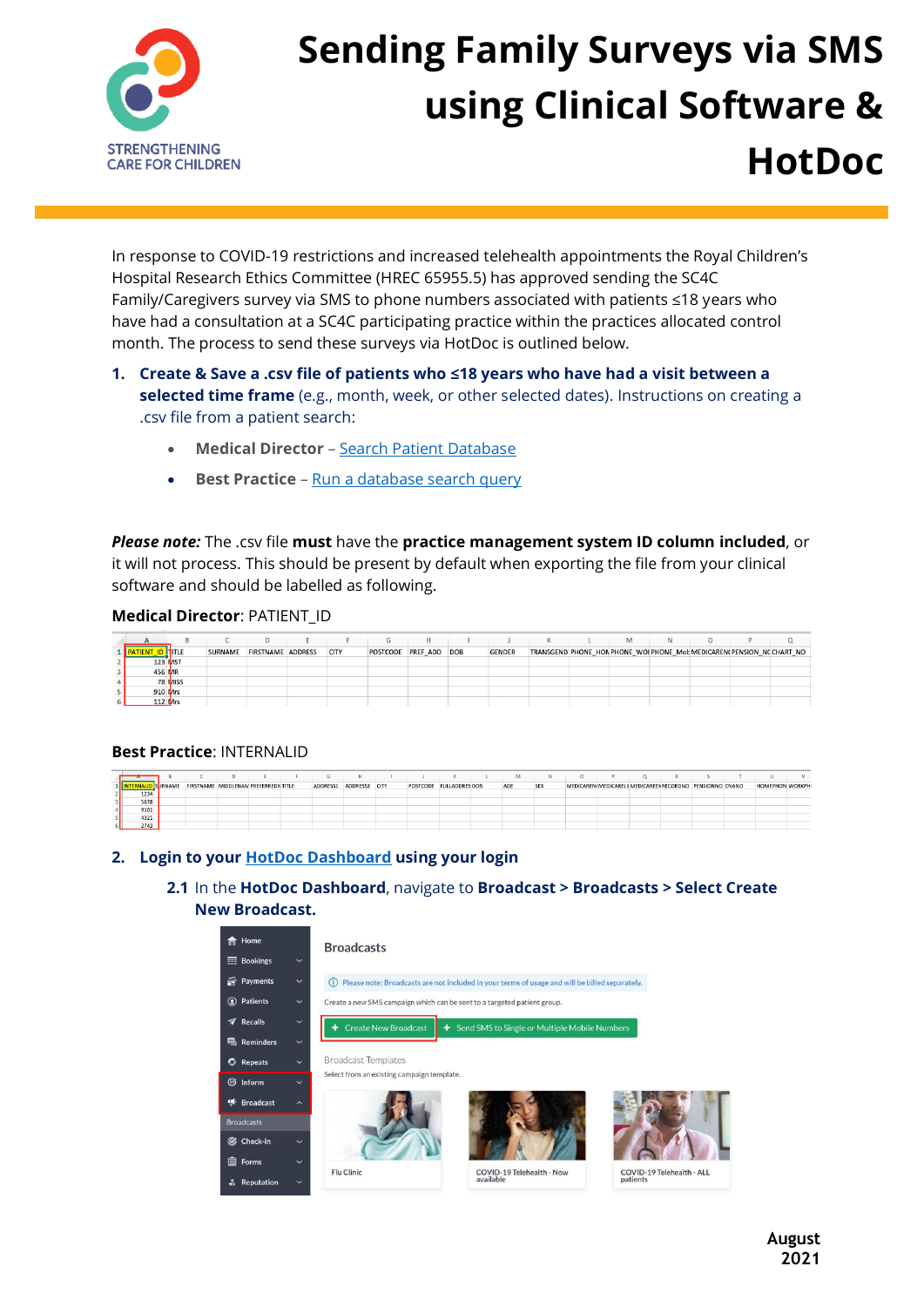

# **Sending Family Surveys via SMS using Clinical Software & HotDoc**

In response to COVID-19 restrictions and increased telehealth appointments the Royal Children's Hospital Research Ethics Committee (HREC 65955.5) has approved sending the SC4C Family/Caregivers survey via SMS to phone numbers associated with patients ≤18 years who have had a consultation at a SC4C participating practice within the practices allocated control month. The process to send these surveys via HotDoc is outlined below.

# **1. Create & Save a .csv file of patients who ≤18 years who have had a visit between a selected time frame** (e.g., month, week, or other selected dates). Instructions on creating a .csv file from a patient search:

- **Medical Director** [Search Patient Database](https://www.medicaldirector.com/help/index.htm?#rhsearch=export&t=topics-clinical%2FPatient_Search.htm)
- **Best Practice** [Run a database search query](https://kb.bpsoftware.net/au/bppremier/jade/Content/Database/Search/SearchingtheDatabase.htm?#Savetheresultsofaquery)

*Please note:* The .csv file **must** have the **practice management system ID column included**, or it will not process. This should be present by default when exporting the file from your clinical software and should be labelled as following.

#### **Medical Director**: PATIENT\_ID

|           |         |         |                   |             |                       | н. |               |                                                                        | M |  |  |
|-----------|---------|---------|-------------------|-------------|-----------------------|----|---------------|------------------------------------------------------------------------|---|--|--|
|           |         | SURNAME | FIRSTNAME ADDRESS | <b>CITY</b> | POSTCODE PREF_ADD DOB |    | <b>GENDER</b> | TRANSGEND PHONE_HON PHONE_WOI PHONE_Mot MEDICAREN( PENSION_N( CHART_NO |   |  |  |
| 123 MST   |         |         |                   |             |                       |    |               |                                                                        |   |  |  |
| 456 MR    |         |         |                   |             |                       |    |               |                                                                        |   |  |  |
|           | 78 MISS |         |                   |             |                       |    |               |                                                                        |   |  |  |
| 910 Mrs   |         |         |                   |             |                       |    |               |                                                                        |   |  |  |
| $112$ Mrs |         |         |                   |             |                       |    |               |                                                                        |   |  |  |

### **Best Practice**: INTERNALID

|      |                |                                      |  | G        |               |                         |  | M   | N   |                                                           |  |  |                         |  |
|------|----------------|--------------------------------------|--|----------|---------------|-------------------------|--|-----|-----|-----------------------------------------------------------|--|--|-------------------------|--|
|      | <b>SURNAME</b> | FIRSTNAME MIDDLENAN PREFERREDN TITLE |  | ADDRESS1 | ADDRESS2 CITY | POSTCODE FULLADDRES DOB |  | AGE | SEX | MEDICAREN(MEDICARELI) MEDICAREE) RECORDNO PENSIONNO DVANO |  |  | <b>HOMEPHON WORKPHO</b> |  |
| 1234 |                |                                      |  |          |               |                         |  |     |     |                                                           |  |  |                         |  |
| 5678 |                |                                      |  |          |               |                         |  |     |     |                                                           |  |  |                         |  |
| 9101 |                |                                      |  |          |               |                         |  |     |     |                                                           |  |  |                         |  |
| 4321 |                |                                      |  |          |               |                         |  |     |     |                                                           |  |  |                         |  |
| 2743 |                |                                      |  |          |               |                         |  |     |     |                                                           |  |  |                         |  |

### **2. Login to your [HotDoc Dashboard](https://www.hotdoc.com.au/dashboard) using your login**

# **2.1** In the **HotDoc Dashboard**, navigate to **Broadcast > Broadcasts > Select Create New Broadcast.**

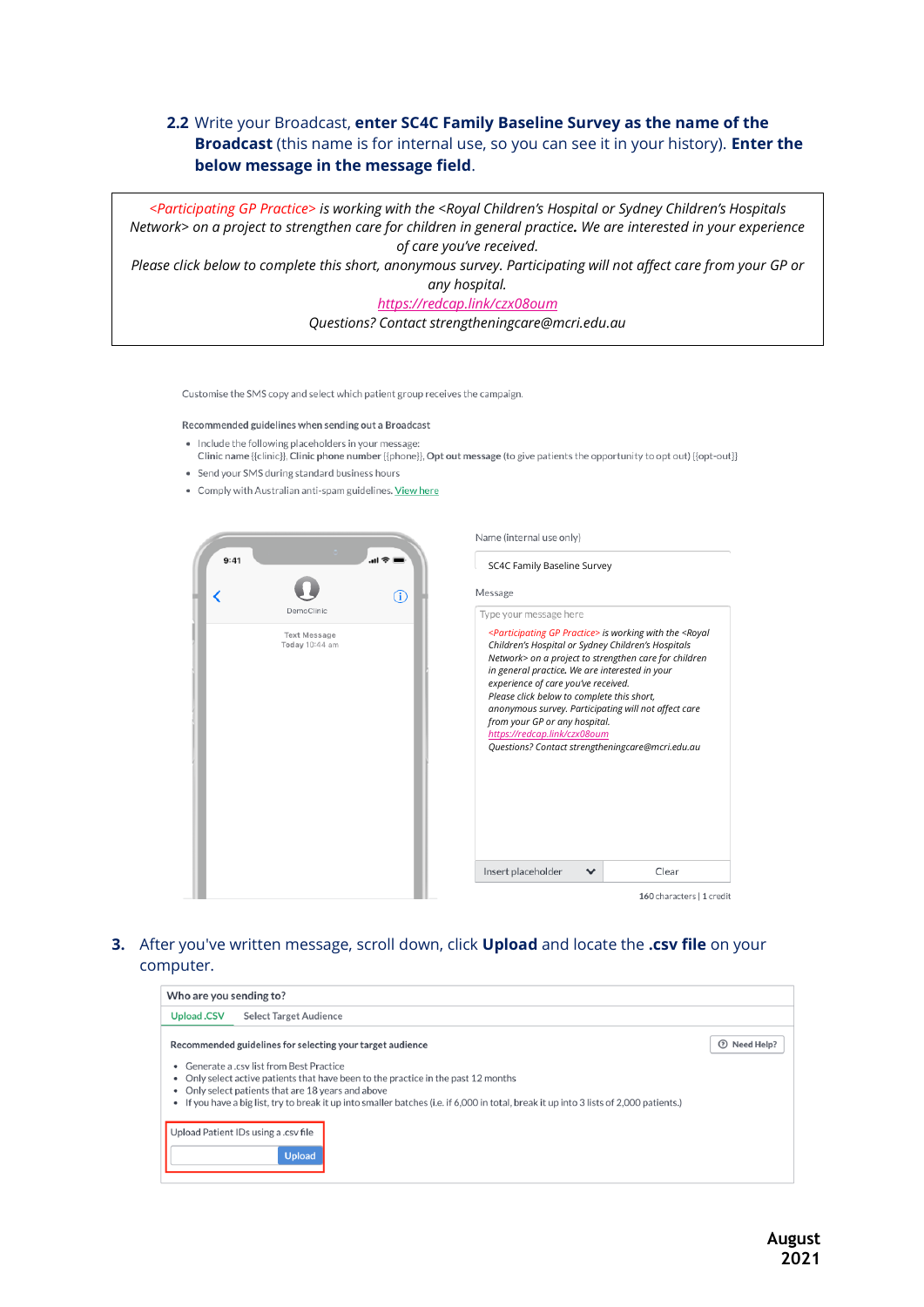# **2.2** Write your Broadcast, **enter SC4C Family Baseline Survey as the name of the Broadcast** (this name is for internal use, so you can see it in your history). **Enter the below message in the message field**.

*<Participating GP Practice> is working with the <Royal Children's Hospital or Sydney Children's Hospitals Network> on a project to strengthen care for children in general practice. We are interested in your experience of care you've received. Please click below to complete this short, anonymous survey. Participating will not affect care from your GP or any hospital. https://redcap.link/czx08oum Questions? Contact strengtheningcare@mcri.edu.au*

Customise the SMS copy and select which patient group receives the campaign.

#### Recommended guidelines when sending out a Broadcast

- . Include the following placeholders in your message netword in the finite place of the manufacture of the control of the control of the control of the control of the Clinic phone number ([phone]], Opt out message (to give patients the opportunity to opt out) {{opt-out}}
- . Send your SMS during standard business hours
- Comply with Australian anti-spam guidelines. View here





SC4C Family Baseline Survey

#### **3.** After you've written message, scroll down, click **Upload** and locate the **.csv file** on your computer.

| Who are you sending to?                                                                                                                                                                                                                                                                                                                                                 |              |  |  |  |  |  |  |
|-------------------------------------------------------------------------------------------------------------------------------------------------------------------------------------------------------------------------------------------------------------------------------------------------------------------------------------------------------------------------|--------------|--|--|--|--|--|--|
| <b>Upload CSV</b><br><b>Select Target Audience</b>                                                                                                                                                                                                                                                                                                                      |              |  |  |  |  |  |  |
| Recommended guidelines for selecting your target audience                                                                                                                                                                                                                                                                                                               | 7 Need Help? |  |  |  |  |  |  |
| Generate a .csy list from Best Practice<br>Only select active patients that have been to the practice in the past 12 months<br>۰<br>Only select patients that are 18 years and above<br>• If you have a big list, try to break it up into smaller batches (i.e. if 6,000 in total, break it up into 3 lists of 2,000 patients.)<br>Upload Patient IDs using a .csv file |              |  |  |  |  |  |  |
| <b>Upload</b>                                                                                                                                                                                                                                                                                                                                                           |              |  |  |  |  |  |  |